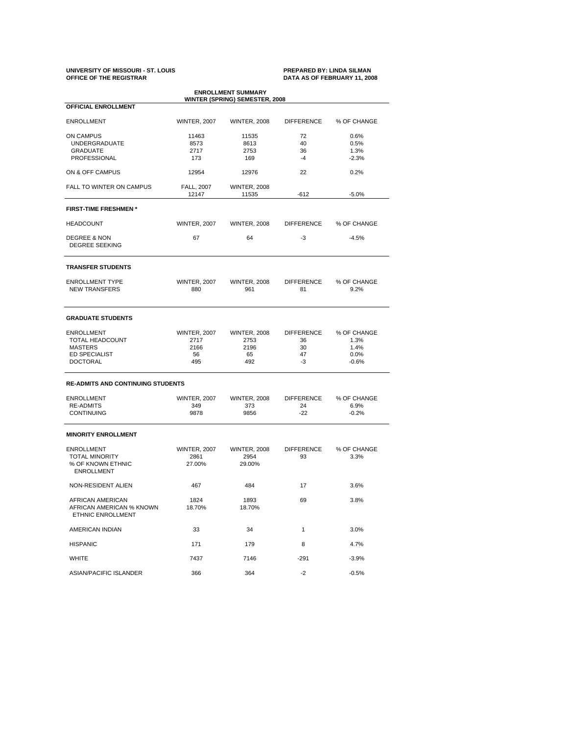# **UNIVERSITY OF MISSOURI - ST. LOUIS PREPARED BY: LINDA SILMAN OFFICE OF THE REGISTRAR DATA AS OF FEBRUARY 11, 2008**

| <b>ENROLLMENT SUMMARY</b><br>WINTER (SPRING) SEMESTER, 2008                                       |                                                  |                                                  |                                           |                                                |  |  |  |  |  |
|---------------------------------------------------------------------------------------------------|--------------------------------------------------|--------------------------------------------------|-------------------------------------------|------------------------------------------------|--|--|--|--|--|
| <b>OFFICIAL ENROLLMENT</b>                                                                        |                                                  |                                                  |                                           |                                                |  |  |  |  |  |
| <b>ENROLLMENT</b>                                                                                 | <b>WINTER, 2007</b>                              | <b>WINTER, 2008</b>                              | <b>DIFFERENCE</b>                         | % OF CHANGE                                    |  |  |  |  |  |
| <b>ON CAMPUS</b><br><b>UNDERGRADUATE</b><br>GRADUATE<br><b>PROFESSIONAL</b>                       | 11463<br>8573<br>2717<br>173                     | 11535<br>8613<br>2753<br>169                     | 72<br>40<br>36<br>$-4$                    | 0.6%<br>0.5%<br>1.3%<br>$-2.3%$                |  |  |  |  |  |
| ON & OFF CAMPUS                                                                                   | 12954                                            | 12976                                            | 22                                        | 0.2%                                           |  |  |  |  |  |
| FALL TO WINTER ON CAMPUS                                                                          | <b>FALL, 2007</b><br>12147                       | <b>WINTER, 2008</b><br>11535                     | $-612$                                    | $-5.0%$                                        |  |  |  |  |  |
| <b>FIRST-TIME FRESHMEN*</b>                                                                       |                                                  |                                                  |                                           |                                                |  |  |  |  |  |
| <b>HEADCOUNT</b>                                                                                  | <b>WINTER, 2007</b>                              | <b>WINTER, 2008</b>                              | <b>DIFFERENCE</b>                         | % OF CHANGE                                    |  |  |  |  |  |
| <b>DEGREE &amp; NON</b><br><b>DEGREE SEEKING</b>                                                  | 67                                               | 64                                               | $-3$                                      | $-4.5%$                                        |  |  |  |  |  |
| <b>TRANSFER STUDENTS</b>                                                                          |                                                  |                                                  |                                           |                                                |  |  |  |  |  |
| <b>ENROLLMENT TYPE</b><br><b>NEW TRANSFERS</b>                                                    | <b>WINTER, 2007</b><br>880                       | <b>WINTER, 2008</b><br>961                       | <b>DIFFERENCE</b><br>81                   | % OF CHANGE<br>9.2%                            |  |  |  |  |  |
| <b>GRADUATE STUDENTS</b>                                                                          |                                                  |                                                  |                                           |                                                |  |  |  |  |  |
| <b>ENROLLMENT</b><br>TOTAL HEADCOUNT<br><b>MASTERS</b><br><b>ED SPECIALIST</b><br><b>DOCTORAL</b> | <b>WINTER, 2007</b><br>2717<br>2166<br>56<br>495 | <b>WINTER, 2008</b><br>2753<br>2196<br>65<br>492 | <b>DIFFERENCE</b><br>36<br>30<br>47<br>-3 | % OF CHANGE<br>1.3%<br>1.4%<br>0.0%<br>$-0.6%$ |  |  |  |  |  |
| <b>RE-ADMITS AND CONTINUING STUDENTS</b>                                                          |                                                  |                                                  |                                           |                                                |  |  |  |  |  |
| <b>ENROLLMENT</b><br><b>RE-ADMITS</b><br><b>CONTINUING</b>                                        | <b>WINTER, 2007</b><br>349<br>9878               | <b>WINTER, 2008</b><br>373<br>9856               | <b>DIFFERENCE</b><br>24<br>$-22$          | % OF CHANGE<br>6.9%<br>$-0.2%$                 |  |  |  |  |  |
| <b>MINORITY ENROLLMENT</b>                                                                        |                                                  |                                                  |                                           |                                                |  |  |  |  |  |
| <b>ENROLLMENT</b><br><b>TOTAL MINORITY</b><br>% OF KNOWN ETHNIC<br><b>ENROLLMENT</b>              | <b>WINTER, 2007</b><br>2861<br>27.00%            | <b>WINTER, 2008</b><br>2954<br>29.00%            | <b>DIFFERENCE</b><br>93                   | % OF CHANGE<br>3.3%                            |  |  |  |  |  |
| NON-RESIDENT ALIEN                                                                                | 467                                              | 484                                              | 17                                        | 3.6%                                           |  |  |  |  |  |
| AFRICAN AMERICAN<br>AFRICAN AMERICAN % KNOWN<br>ETHNIC ENROLLMENT                                 | 1824<br>18.70%                                   | 1893<br>18.70%                                   | 69                                        | 3.8%                                           |  |  |  |  |  |
| AMERICAN INDIAN                                                                                   | 33                                               | 34                                               | $\mathbf{1}$                              | 3.0%                                           |  |  |  |  |  |
| <b>HISPANIC</b>                                                                                   | 171                                              | 179                                              | 8                                         | 4.7%                                           |  |  |  |  |  |
| <b>WHITE</b>                                                                                      | 7437                                             | 7146                                             | $-291$                                    | $-3.9%$                                        |  |  |  |  |  |
| ASIAN/PACIFIC ISLANDER                                                                            | 366                                              | 364                                              | $-2$                                      | $-0.5%$                                        |  |  |  |  |  |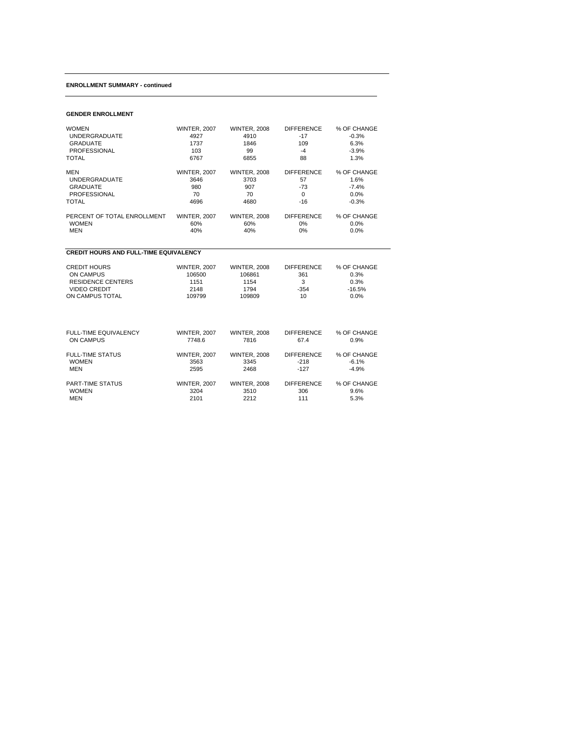#### **ENROLLMENT SUMMARY - continued**

# **GENDER ENROLLMENT**

| <b>WOMEN</b>                                  | <b>WINTER, 2007</b> | <b>WINTER, 2008</b> | <b>DIFFERENCE</b> | % OF CHANGE |
|-----------------------------------------------|---------------------|---------------------|-------------------|-------------|
| <b>UNDERGRADUATE</b>                          | 4927                | 4910                | $-17$             | $-0.3%$     |
| <b>GRADUATE</b>                               | 1737                | 1846                | 109               | 6.3%        |
| <b>PROFESSIONAL</b>                           | 103                 | 99                  | $-4$              | $-3.9%$     |
| <b>TOTAL</b>                                  | 6767                | 6855                | 88                | 1.3%        |
| <b>MEN</b>                                    | <b>WINTER, 2007</b> | <b>WINTER, 2008</b> | <b>DIFFERENCE</b> | % OF CHANGE |
| <b>UNDERGRADUATE</b>                          | 3646                | 3703                | 57                | 1.6%        |
| <b>GRADUATE</b>                               | 980                 | 907                 | $-73$             | $-7.4%$     |
| <b>PROFESSIONAL</b>                           | 70                  | 70                  | 0                 | 0.0%        |
| <b>TOTAL</b>                                  | 4696                | 4680                | $-16$             | $-0.3%$     |
| PERCENT OF TOTAL ENROLLMENT                   | <b>WINTER, 2007</b> | <b>WINTER, 2008</b> | <b>DIFFERENCE</b> | % OF CHANGE |
| <b>WOMEN</b>                                  | 60%                 | 60%                 | 0%                | 0.0%        |
| <b>MEN</b>                                    | 40%                 | 40%                 | 0%                | 0.0%        |
| <b>CREDIT HOURS AND FULL-TIME EQUIVALENCY</b> |                     |                     |                   |             |
| <b>CREDIT HOURS</b>                           | <b>WINTER, 2007</b> | <b>WINTER, 2008</b> | <b>DIFFERENCE</b> | % OF CHANGE |
| ON CAMPUS                                     | 106500              | 106861              | 361               | 0.3%        |
| <b>RESIDENCE CENTERS</b>                      | 1151                | 1154                | 3                 | 0.3%        |
| <b>VIDEO CREDIT</b>                           | 2148                | 1794                | $-354$            | $-16.5%$    |
| ON CAMPUS TOTAL                               | 109799              | 109809              | 10 <sup>1</sup>   | 0.0%        |
| <b>FULL-TIME EQUIVALENCY</b>                  | <b>WINTER, 2007</b> | <b>WINTER, 2008</b> | <b>DIFFERENCE</b> | % OF CHANGE |
| ON CAMPUS                                     | 7748.6              | 7816                | 67.4              | 0.9%        |
| <b>FULL-TIME STATUS</b>                       | <b>WINTER, 2007</b> | <b>WINTER, 2008</b> | <b>DIFFERENCE</b> | % OF CHANGE |
| <b>WOMEN</b>                                  | 3563                | 3345                | $-218$            | $-6.1%$     |
| <b>MEN</b>                                    | 2595                | 2468                | $-127$            | $-4.9%$     |
| <b>PART-TIME STATUS</b>                       | <b>WINTER, 2007</b> | <b>WINTER, 2008</b> | <b>DIFFERENCE</b> | % OF CHANGE |
| <b>WOMEN</b>                                  | 3204                | 3510                | 306               | 9.6%        |
| <b>MEN</b>                                    | 2101                | 2212                | 111               | 5.3%        |